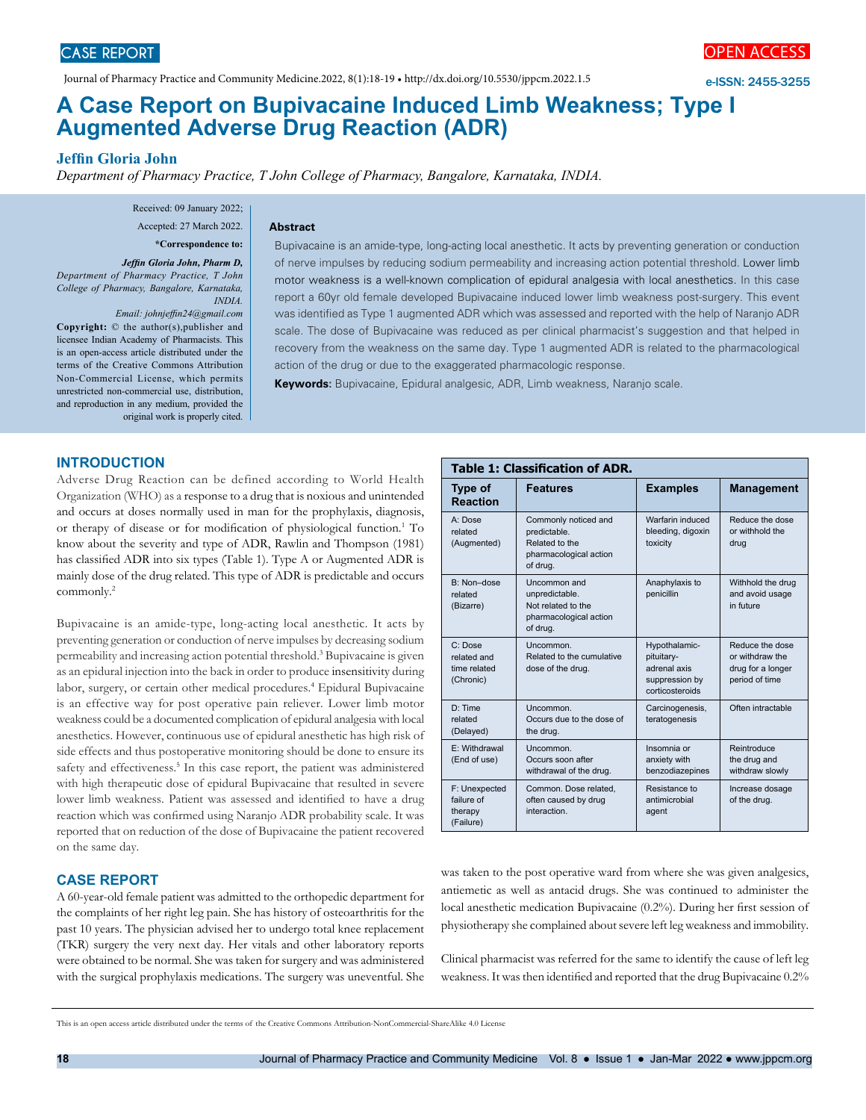Journal of Pharmacy Practice and Community Medicine.2022, 8(1):18-19 • http://dx.doi.org/10.5530/jppcm.2022.1.5

e-ISSN: 2455-3255

# **A Case Report on Bupivacaine Induced Limb Weakness; Type I Augmented Adverse Drug Reaction (ADR)**

**Jeffin Gloria John**

*Department of Pharmacy Practice, T John College of Pharmacy, Bangalore, Karnataka, INDIA.*

Received: 09 January 2022; Accepted: 27 March 2022.

**\*Correspondence to:**

*Jeffin Gloria John, Pharm D, Department of Pharmacy Practice, T John College of Pharmacy, Bangalore, Karnataka, INDIA.* 

*Email: johnjeffin24@gmail.com*

**Copyright:** © the author(s),publisher and licensee Indian Academy of Pharmacists. This is an open-access article distributed under the terms of the Creative Commons Attribution Non-Commercial License, which permits unrestricted non-commercial use, distribution, and reproduction in any medium, provided the original work is properly cited.

#### **Abstract**

Bupivacaine is an amide-type, long-acting local anesthetic. It acts by preventing generation or conduction of nerve impulses by reducing sodium permeability and increasing action potential threshold. Lower limb motor weakness is a well-known complication of epidural analgesia with local anesthetics. In this case report a 60yr old female developed Bupivacaine induced lower limb weakness post-surgery. This event was identified as Type 1 augmented ADR which was assessed and reported with the help of Naranjo ADR scale. The dose of Bupivacaine was reduced as per clinical pharmacist's suggestion and that helped in recovery from the weakness on the same day. Type 1 augmented ADR is related to the pharmacological action of the drug or due to the exaggerated pharmacologic response.

**Keywords:** Bupivacaine, Epidural analgesic, ADR, Limb weakness, Naranjo scale.

## **INTRODUCTION**

Adverse Drug Reaction can be defined according to World Health Organization (WHO) as a response to a drug that is noxious and unintended and occurs at doses normally used in man for the prophylaxis, diagnosis, or therapy of disease or for modification of physiological function.<sup>1</sup> To know about the severity and type of ADR, Rawlin and Thompson (1981) has classified ADR into six types (Table 1). Type A or Augmented ADR is mainly dose of the drug related. This type of ADR is predictable and occurs commonly.2

Bupivacaine is an amide-type, long-acting local anesthetic. It acts by preventing generation or conduction of nerve impulses by decreasing sodium permeability and increasing action potential threshold.3 Bupivacaine is given as an epidural injection into the back in order to produce insensitivity during labor, surgery, or certain other medical procedures.4 Epidural Bupivacaine is an effective way for post operative pain reliever. Lower limb motor weakness could be a documented complication of epidural analgesia with local anesthetics. However, continuous use of epidural anesthetic has high risk of side effects and thus postoperative monitoring should be done to ensure its safety and effectiveness.<sup>5</sup> In this case report, the patient was administered with high therapeutic dose of epidural Bupivacaine that resulted in severe lower limb weakness. Patient was assessed and identified to have a drug reaction which was confirmed using Naranjo ADR probability scale. It was reported that on reduction of the dose of Bupivacaine the patient recovered on the same day.

## **CASE REPORT**

A 60-year-old female patient was admitted to the orthopedic department for the complaints of her right leg pain. She has history of osteoarthritis for the past 10 years. The physician advised her to undergo total knee replacement (TKR) surgery the very next day. Her vitals and other laboratory reports were obtained to be normal. She was taken for surgery and was administered with the surgical prophylaxis medications. The surgery was uneventful. She

| <b>Table 1: Classification of ADR.</b>                         |                                                                                              |                                                                                  |                                                                           |
|----------------------------------------------------------------|----------------------------------------------------------------------------------------------|----------------------------------------------------------------------------------|---------------------------------------------------------------------------|
| <b>Type of</b><br><b>Reaction</b>                              | <b>Features</b>                                                                              | <b>Examples</b>                                                                  | <b>Management</b>                                                         |
| $A \cdot D$ ose<br>related<br>(Augmented)                      | Commonly noticed and<br>predictable.<br>Related to the<br>pharmacological action<br>of drug. | Warfarin induced<br>bleeding, digoxin<br>toxicity                                | Reduce the dose<br>or withhold the<br>drug                                |
| $B: Non-dose$<br>related<br>(Bizarre)                          | Uncommon and<br>unpredictable.<br>Not related to the<br>pharmacological action<br>of drug.   | Anaphylaxis to<br>penicillin                                                     | Withhold the drug<br>and avoid usage<br>in future                         |
| $C: \textsf{Dose}$<br>related and<br>time related<br>(Chronic) | <b>Uncommon</b><br>Related to the cumulative<br>dose of the drug.                            | Hypothalamic-<br>pituitary-<br>adrenal axis<br>suppression by<br>corticosteroids | Reduce the dose<br>or withdraw the<br>drug for a longer<br>period of time |
| D: Time<br>related<br>(Delayed)                                | Uncommon.<br>Occurs due to the dose of<br>the drug.                                          | Carcinogenesis,<br>teratogenesis                                                 | Often intractable                                                         |
| E: Withdrawal<br>(End of use)                                  | Uncommon.<br>Occurs soon after<br>withdrawal of the drug.                                    | Insomnia or<br>anxiety with<br>benzodiazepines                                   | Reintroduce<br>the drug and<br>withdraw slowly                            |
| F: Unexpected<br>failure of<br>therapy<br>(Failure)            | Common. Dose related.<br>often caused by drug<br>interaction.                                | Resistance to<br>antimicrobial<br>agent                                          | Increase dosage<br>of the drug.                                           |

was taken to the post operative ward from where she was given analgesics, antiemetic as well as antacid drugs. She was continued to administer the local anesthetic medication Bupivacaine (0.2%). During her first session of physiotherapy she complained about severe left leg weakness and immobility.

Clinical pharmacist was referred for the same to identify the cause of left leg weakness. It was then identified and reported that the drug Bupivacaine 0.2%

This is an open access article distributed under the terms of the Creative Commons Attribution-NonCommercial-ShareAlike 4.0 License